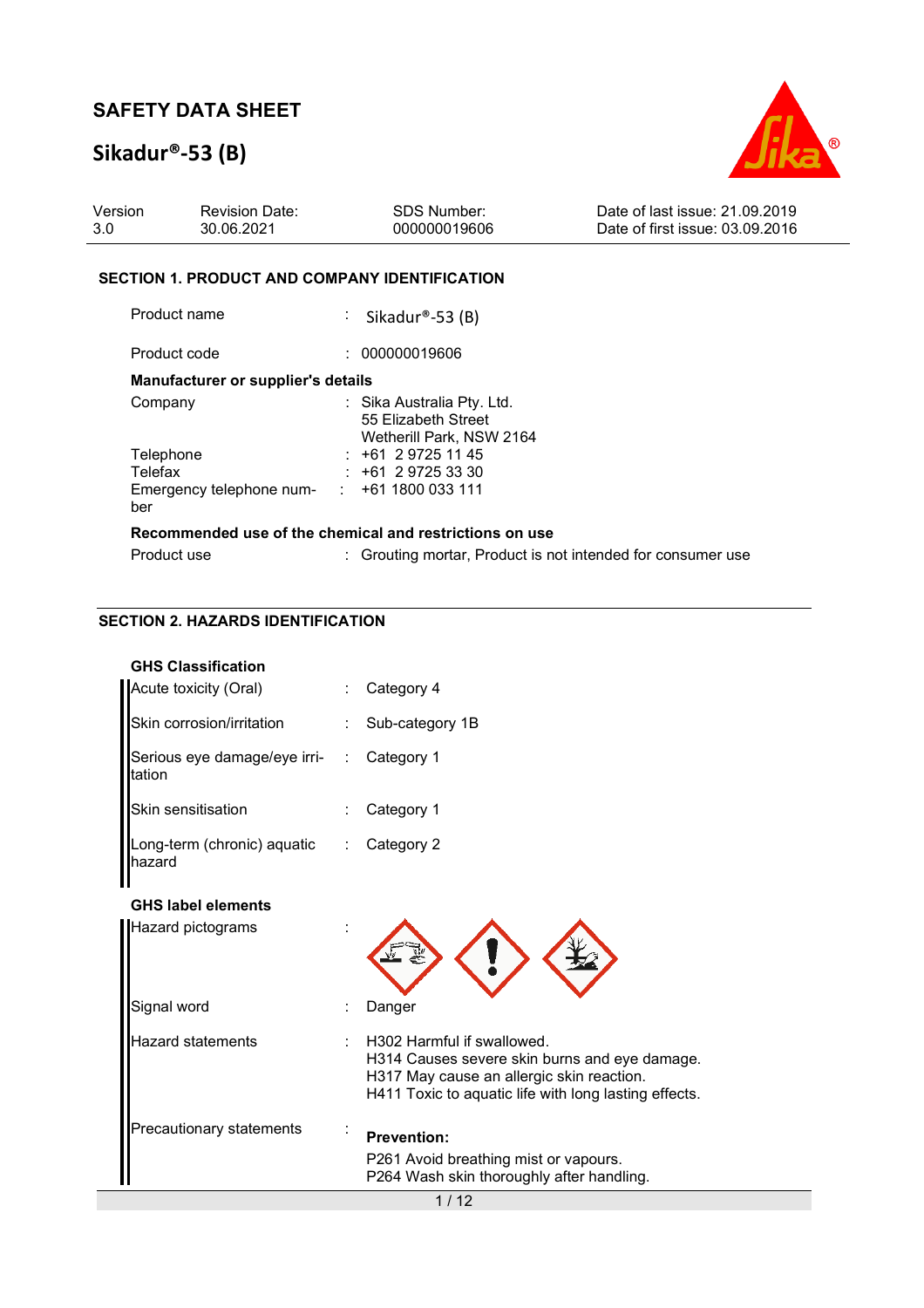# **Sikadur®-53 (B)**



| Version | <b>Revision Date:</b> | SDS Number:  | Date of last issue: 21.09.2019  |
|---------|-----------------------|--------------|---------------------------------|
| -3.0    | 30.06.2021            | 000000019606 | Date of first issue: 03.09.2016 |
|         |                       |              |                                 |

#### **SECTION 1. PRODUCT AND COMPANY IDENTIFICATION**

Product name : Sikadur®-53 (B)

Product code : 000000019606 **Manufacturer or supplier's details**  Company : Sika Australia Pty. Ltd.

| <b>Company</b>                                          | . Only not all $\alpha$ is $\alpha$ . |
|---------------------------------------------------------|---------------------------------------|
|                                                         | 55 Elizabeth Street                   |
|                                                         | Wetherill Park, NSW 2164              |
| Telephone                                               | $: +61297251145$                      |
| Telefax                                                 | $: +61297253330$                      |
| Emergency telephone num-                                | $\div$ +61 1800 033 111               |
| ber                                                     |                                       |
| Recommended use of the chemical and restrictions on use |                                       |
|                                                         |                                       |

| Product use | : Grouting mortar, Product is not intended for consumer use |
|-------------|-------------------------------------------------------------|

### **SECTION 2. HAZARDS IDENTIFICATION**

| Acute toxicity (Oral)                    | Category 4                                                                                                                                                                        |
|------------------------------------------|-----------------------------------------------------------------------------------------------------------------------------------------------------------------------------------|
| Skin corrosion/irritation                | Sub-category 1B                                                                                                                                                                   |
| Serious eye damage/eye irri- :<br>tation | Category 1                                                                                                                                                                        |
| Skin sensitisation                       | Category 1                                                                                                                                                                        |
| Long-term (chronic) aquatic<br>hazard    | Category 2                                                                                                                                                                        |
| <b>GHS label elements</b>                |                                                                                                                                                                                   |
| Hazard pictograms                        |                                                                                                                                                                                   |
| Signal word                              | Danger                                                                                                                                                                            |
| <b>Hazard statements</b>                 | H302 Harmful if swallowed.<br>H314 Causes severe skin burns and eye damage.<br>H317 May cause an allergic skin reaction.<br>H411 Toxic to aquatic life with long lasting effects. |
| Precautionary statements                 | <b>Prevention:</b>                                                                                                                                                                |
|                                          | P261 Avoid breathing mist or vapours.<br>P264 Wash skin thoroughly after handling.                                                                                                |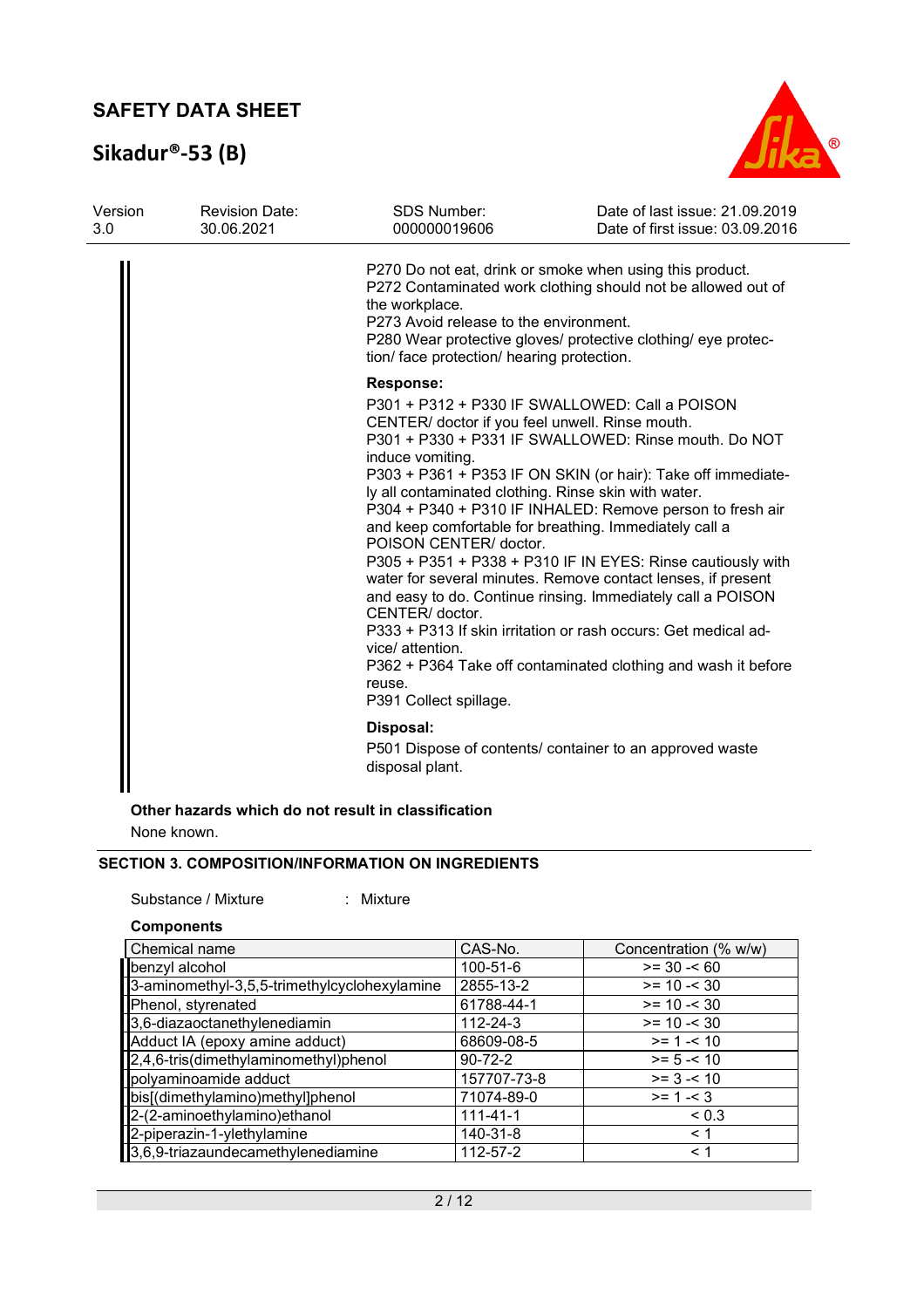# **Sikadur®-53 (B)**



| Version<br>3.0 | <b>Revision Date:</b><br>30.06.2021 | <b>SDS Number:</b><br>000000019606                                                                                                                                                                                               | Date of last issue: 21.09.2019<br>Date of first issue: 03.09.2016                                                                                                                                                                                                                                                                                                                                                                                                                                                                                                                                                              |
|----------------|-------------------------------------|----------------------------------------------------------------------------------------------------------------------------------------------------------------------------------------------------------------------------------|--------------------------------------------------------------------------------------------------------------------------------------------------------------------------------------------------------------------------------------------------------------------------------------------------------------------------------------------------------------------------------------------------------------------------------------------------------------------------------------------------------------------------------------------------------------------------------------------------------------------------------|
|                |                                     | the workplace.<br>P273 Avoid release to the environment.<br>tion/ face protection/ hearing protection.                                                                                                                           | P270 Do not eat, drink or smoke when using this product.<br>P272 Contaminated work clothing should not be allowed out of<br>P280 Wear protective gloves/ protective clothing/ eye protec-                                                                                                                                                                                                                                                                                                                                                                                                                                      |
|                |                                     | <b>Response:</b>                                                                                                                                                                                                                 |                                                                                                                                                                                                                                                                                                                                                                                                                                                                                                                                                                                                                                |
|                |                                     | CENTER/ doctor if you feel unwell. Rinse mouth.<br>induce vomiting.<br>ly all contaminated clothing. Rinse skin with water.<br>POISON CENTER/ doctor.<br>CENTER/ doctor.<br>vice/ attention.<br>reuse.<br>P391 Collect spillage. | P301 + P312 + P330 IF SWALLOWED: Call a POISON<br>P301 + P330 + P331 IF SWALLOWED: Rinse mouth. Do NOT<br>P303 + P361 + P353 IF ON SKIN (or hair): Take off immediate-<br>P304 + P340 + P310 IF INHALED: Remove person to fresh air<br>and keep comfortable for breathing. Immediately call a<br>P305 + P351 + P338 + P310 IF IN EYES: Rinse cautiously with<br>water for several minutes. Remove contact lenses, if present<br>and easy to do. Continue rinsing. Immediately call a POISON<br>P333 + P313 If skin irritation or rash occurs: Get medical ad-<br>P362 + P364 Take off contaminated clothing and wash it before |
|                |                                     | Disposal:<br>disposal plant.                                                                                                                                                                                                     | P501 Dispose of contents/ container to an approved waste                                                                                                                                                                                                                                                                                                                                                                                                                                                                                                                                                                       |

### **Other hazards which do not result in classification**

None known.

### **SECTION 3. COMPOSITION/INFORMATION ON INGREDIENTS**

Substance / Mixture : Mixture

#### **Components**

| Chemical name                                | CAS-No.        | Concentration (% w/w) |
|----------------------------------------------|----------------|-----------------------|
| benzyl alcohol                               | 100-51-6       | $>= 30 - 60$          |
| 3-aminomethyl-3,5,5-trimethylcyclohexylamine | 2855-13-2      | $>= 10 - 30$          |
| Phenol, styrenated                           | 61788-44-1     | $>= 10 - 30$          |
| 3,6-diazaoctanethylenediamin                 | 112-24-3       | $>= 10 - 30$          |
| Adduct IA (epoxy amine adduct)               | 68609-08-5     | $>= 1 - 10$           |
| 2,4,6-tris(dimethylaminomethyl)phenol        | $90 - 72 - 2$  | $>= 5 - 10$           |
| polyaminoamide adduct                        | 157707-73-8    | $>= 3 - 10$           |
| bis[(dimethylamino)methyl]phenol             | 71074-89-0     | $>= 1 - 3$            |
| 2-(2-aminoethylamino) ethanol                | $111 - 41 - 1$ | ${}_{0.3}$            |
| 2-piperazin-1-ylethylamine                   | 140-31-8       | < 1                   |
| 3,6,9-triazaundecamethylenediamine           | 112-57-2       | < 1                   |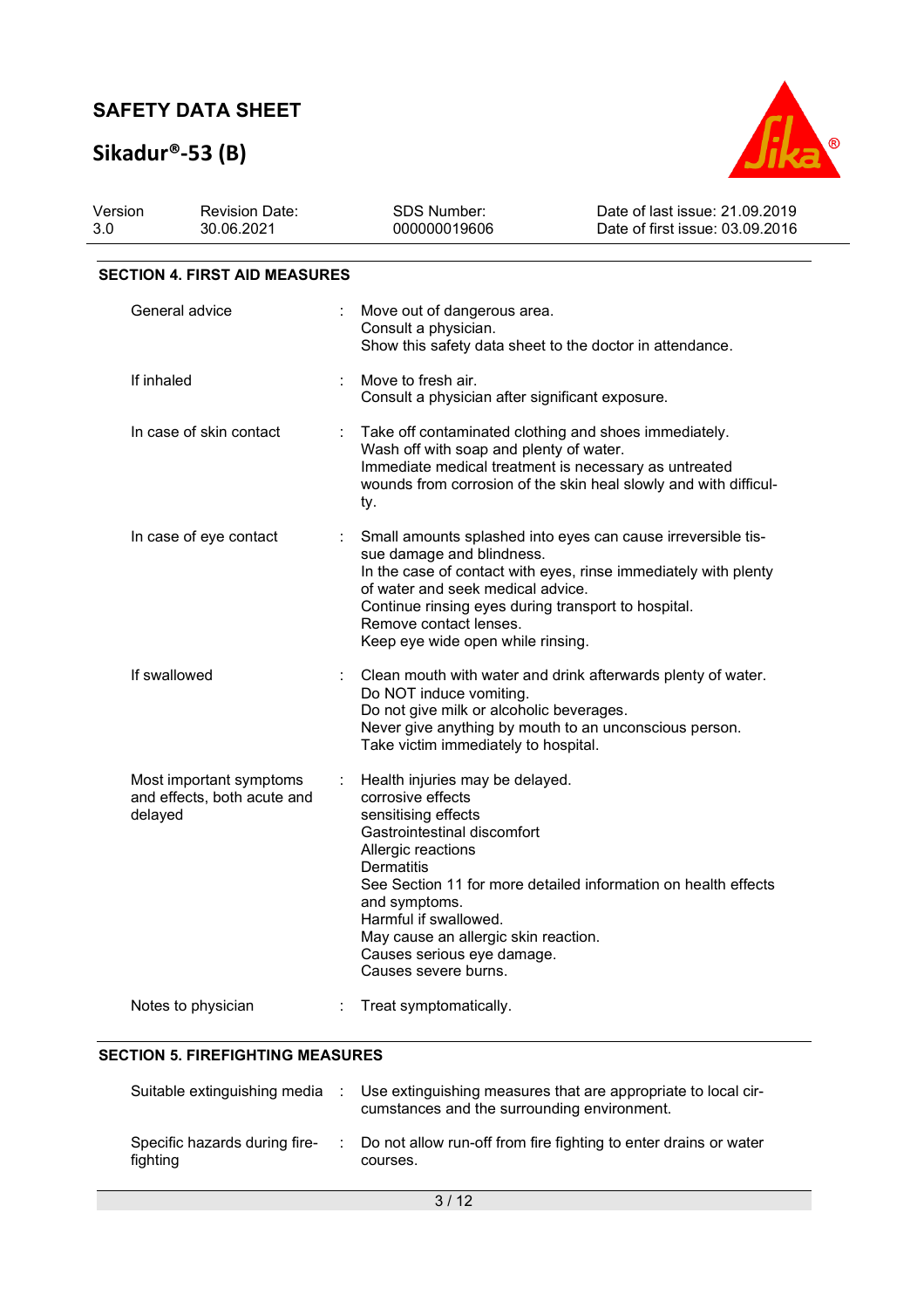# **Sikadur®-53 (B)**



| Version<br>3.0               | <b>Revision Date:</b><br>30.06.2021                    |                                                                                                                                                                  | SDS Number:<br>000000019606                                                                                                                                                                                                                                                                   | Date of last issue: 21.09.2019<br>Date of first issue: 03.09.2016                                                               |
|------------------------------|--------------------------------------------------------|------------------------------------------------------------------------------------------------------------------------------------------------------------------|-----------------------------------------------------------------------------------------------------------------------------------------------------------------------------------------------------------------------------------------------------------------------------------------------|---------------------------------------------------------------------------------------------------------------------------------|
|                              | <b>SECTION 4. FIRST AID MEASURES</b>                   |                                                                                                                                                                  |                                                                                                                                                                                                                                                                                               |                                                                                                                                 |
|                              | General advice                                         |                                                                                                                                                                  | Move out of dangerous area.<br>Consult a physician.<br>Show this safety data sheet to the doctor in attendance.                                                                                                                                                                               |                                                                                                                                 |
|                              | If inhaled                                             |                                                                                                                                                                  | Move to fresh air.<br>Consult a physician after significant exposure.                                                                                                                                                                                                                         |                                                                                                                                 |
| In case of skin contact<br>÷ |                                                        | Take off contaminated clothing and shoes immediately.<br>Wash off with soap and plenty of water.<br>Immediate medical treatment is necessary as untreated<br>ty. | wounds from corrosion of the skin heal slowly and with difficul-                                                                                                                                                                                                                              |                                                                                                                                 |
|                              | In case of eye contact                                 |                                                                                                                                                                  | sue damage and blindness.<br>of water and seek medical advice.<br>Continue rinsing eyes during transport to hospital.<br>Remove contact lenses.<br>Keep eye wide open while rinsing.                                                                                                          | Small amounts splashed into eyes can cause irreversible tis-<br>In the case of contact with eyes, rinse immediately with plenty |
|                              | If swallowed                                           |                                                                                                                                                                  | Do NOT induce vomiting.<br>Do not give milk or alcoholic beverages.<br>Take victim immediately to hospital.                                                                                                                                                                                   | Clean mouth with water and drink afterwards plenty of water.<br>Never give anything by mouth to an unconscious person.          |
| delayed                      | Most important symptoms<br>and effects, both acute and |                                                                                                                                                                  | Health injuries may be delayed.<br>corrosive effects<br>sensitising effects<br>Gastrointestinal discomfort<br>Allergic reactions<br><b>Dermatitis</b><br>and symptoms.<br>Harmful if swallowed.<br>May cause an allergic skin reaction.<br>Causes serious eye damage.<br>Causes severe burns. | See Section 11 for more detailed information on health effects                                                                  |
|                              | Notes to physician                                     |                                                                                                                                                                  | Treat symptomatically.                                                                                                                                                                                                                                                                        |                                                                                                                                 |

#### **SECTION 5. FIREFIGHTING MEASURES**

| Suitable extinguishing media              | Use extinguishing measures that are appropriate to local cir-<br>cumstances and the surrounding environment. |
|-------------------------------------------|--------------------------------------------------------------------------------------------------------------|
| Specific hazards during fire-<br>fighting | Do not allow run-off from fire fighting to enter drains or water<br>courses.                                 |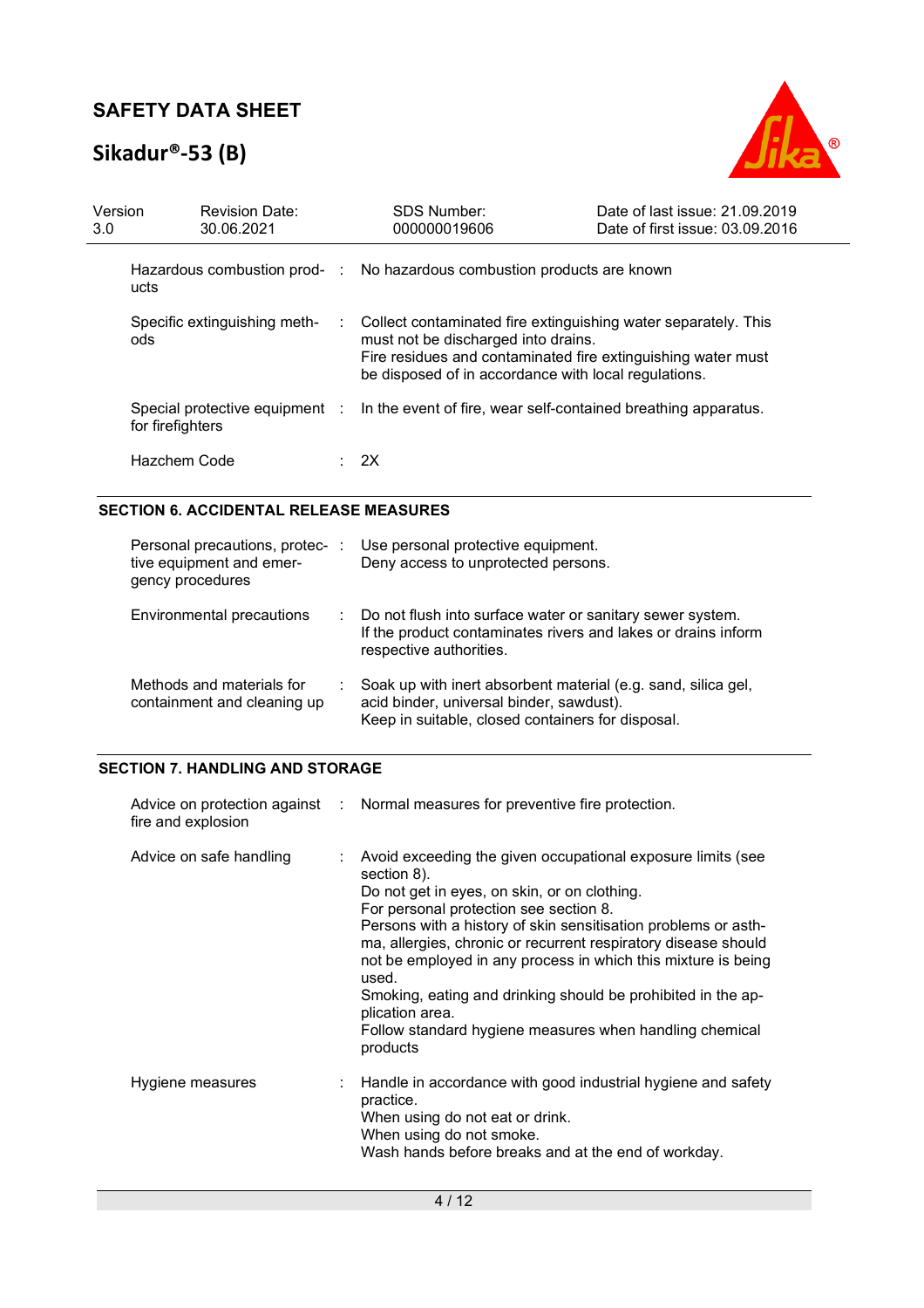# **Sikadur®-53 (B)**



| Version<br>3.0 |                  | <b>Revision Date:</b><br>30.06.2021 |    | <b>SDS Number:</b><br>000000019606                                                                                                                                                                                            | Date of last issue: 21.09.2019<br>Date of first issue: 03.09.2016 |
|----------------|------------------|-------------------------------------|----|-------------------------------------------------------------------------------------------------------------------------------------------------------------------------------------------------------------------------------|-------------------------------------------------------------------|
|                | ucts             |                                     |    | Hazardous combustion prod- : No hazardous combustion products are known                                                                                                                                                       |                                                                   |
|                | ods              | Specific extinguishing meth-        | ÷. | Collect contaminated fire extinguishing water separately. This<br>must not be discharged into drains.<br>Fire residues and contaminated fire extinguishing water must<br>be disposed of in accordance with local regulations. |                                                                   |
|                | for firefighters | Special protective equipment :      |    | In the event of fire, wear self-contained breathing apparatus.                                                                                                                                                                |                                                                   |
|                | Hazchem Code     |                                     |    | : 2X                                                                                                                                                                                                                          |                                                                   |

#### **SECTION 6. ACCIDENTAL RELEASE MEASURES**

| Personal precautions, protec-<br>tive equipment and emer-<br>gency procedures | ÷. | Use personal protective equipment.<br>Deny access to unprotected persons.                                                                                      |
|-------------------------------------------------------------------------------|----|----------------------------------------------------------------------------------------------------------------------------------------------------------------|
| Environmental precautions                                                     |    | : Do not flush into surface water or sanitary sewer system.<br>If the product contaminates rivers and lakes or drains inform<br>respective authorities.        |
| Methods and materials for<br>containment and cleaning up                      |    | Soak up with inert absorbent material (e.g. sand, silica gel,<br>acid binder, universal binder, sawdust).<br>Keep in suitable, closed containers for disposal. |

#### **SECTION 7. HANDLING AND STORAGE**

| fire and explosion      | Advice on protection against : Normal measures for preventive fire protection.                                                                                                                                                                                                                                                                                                                                                                                                                                                               |
|-------------------------|----------------------------------------------------------------------------------------------------------------------------------------------------------------------------------------------------------------------------------------------------------------------------------------------------------------------------------------------------------------------------------------------------------------------------------------------------------------------------------------------------------------------------------------------|
| Advice on safe handling | Avoid exceeding the given occupational exposure limits (see<br>section 8).<br>Do not get in eyes, on skin, or on clothing.<br>For personal protection see section 8.<br>Persons with a history of skin sensitisation problems or asth-<br>ma, allergies, chronic or recurrent respiratory disease should<br>not be employed in any process in which this mixture is being<br>used.<br>Smoking, eating and drinking should be prohibited in the ap-<br>plication area.<br>Follow standard hygiene measures when handling chemical<br>products |
| Hygiene measures        | Handle in accordance with good industrial hygiene and safety<br>practice.<br>When using do not eat or drink.<br>When using do not smoke.<br>Wash hands before breaks and at the end of workday.                                                                                                                                                                                                                                                                                                                                              |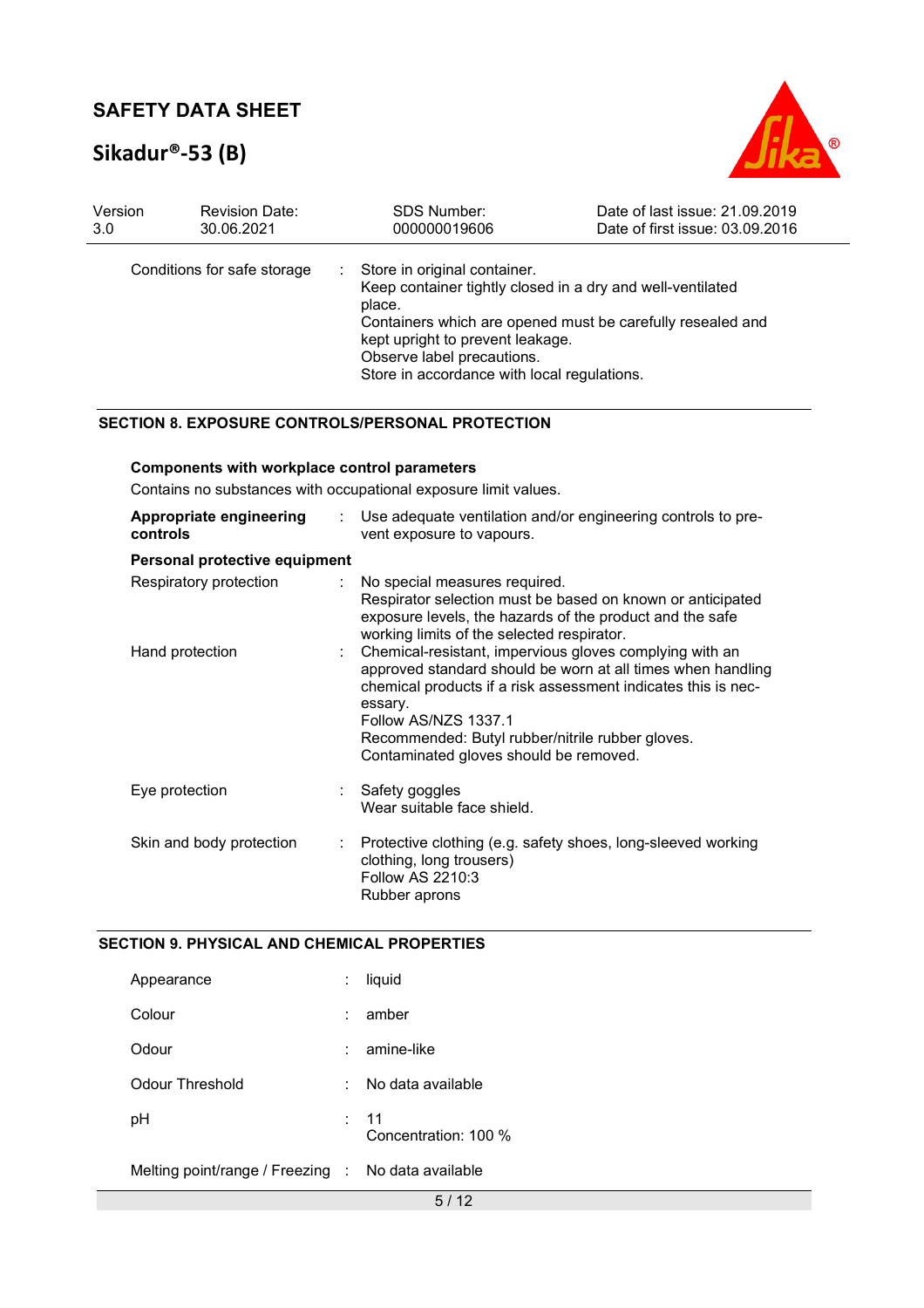# **Sikadur®-53 (B)**



| Version | <b>Revision Date:</b>       | <b>SDS Number:</b>                                                                                                                                            | Date of last issue: 21.09.2019                                                                                           |
|---------|-----------------------------|---------------------------------------------------------------------------------------------------------------------------------------------------------------|--------------------------------------------------------------------------------------------------------------------------|
| 3.0     | 30.06.2021                  | 000000019606                                                                                                                                                  | Date of first issue: 03.09.2016                                                                                          |
|         | Conditions for safe storage | Store in original container.<br>÷.<br>place.<br>kept upright to prevent leakage.<br>Observe label precautions.<br>Store in accordance with local regulations. | Keep container tightly closed in a dry and well-ventilated<br>Containers which are opened must be carefully resealed and |

#### **SECTION 8. EXPOSURE CONTROLS/PERSONAL PROTECTION**

#### **Components with workplace control parameters**

Contains no substances with occupational exposure limit values.

| Appropriate engineering<br>controls | Use adequate ventilation and/or engineering controls to pre-<br>vent exposure to vapours.                                                                                                                                                                                                                                  |
|-------------------------------------|----------------------------------------------------------------------------------------------------------------------------------------------------------------------------------------------------------------------------------------------------------------------------------------------------------------------------|
| Personal protective equipment       |                                                                                                                                                                                                                                                                                                                            |
| Respiratory protection              | : No special measures required.<br>Respirator selection must be based on known or anticipated<br>exposure levels, the hazards of the product and the safe<br>working limits of the selected respirator.                                                                                                                    |
| Hand protection                     | : Chemical-resistant, impervious gloves complying with an<br>approved standard should be worn at all times when handling<br>chemical products if a risk assessment indicates this is nec-<br>essary.<br>Follow AS/NZS 1337.1<br>Recommended: Butyl rubber/nitrile rubber gloves.<br>Contaminated gloves should be removed. |
| Eye protection                      | : Safety goggles<br>Wear suitable face shield.                                                                                                                                                                                                                                                                             |
| Skin and body protection            | : Protective clothing (e.g. safety shoes, long-sleeved working<br>clothing, long trousers)<br>Follow AS 2210:3<br>Rubber aprons                                                                                                                                                                                            |

#### **SECTION 9. PHYSICAL AND CHEMICAL PROPERTIES**

| Appearance                                         |    | liquid                       |
|----------------------------------------------------|----|------------------------------|
| Colour                                             |    | amber                        |
| Odour                                              |    | amine-like                   |
| Odour Threshold                                    | ۰. | No data available            |
| рH                                                 |    | : 11<br>Concentration: 100 % |
| Melting point/range / Freezing : No data available |    |                              |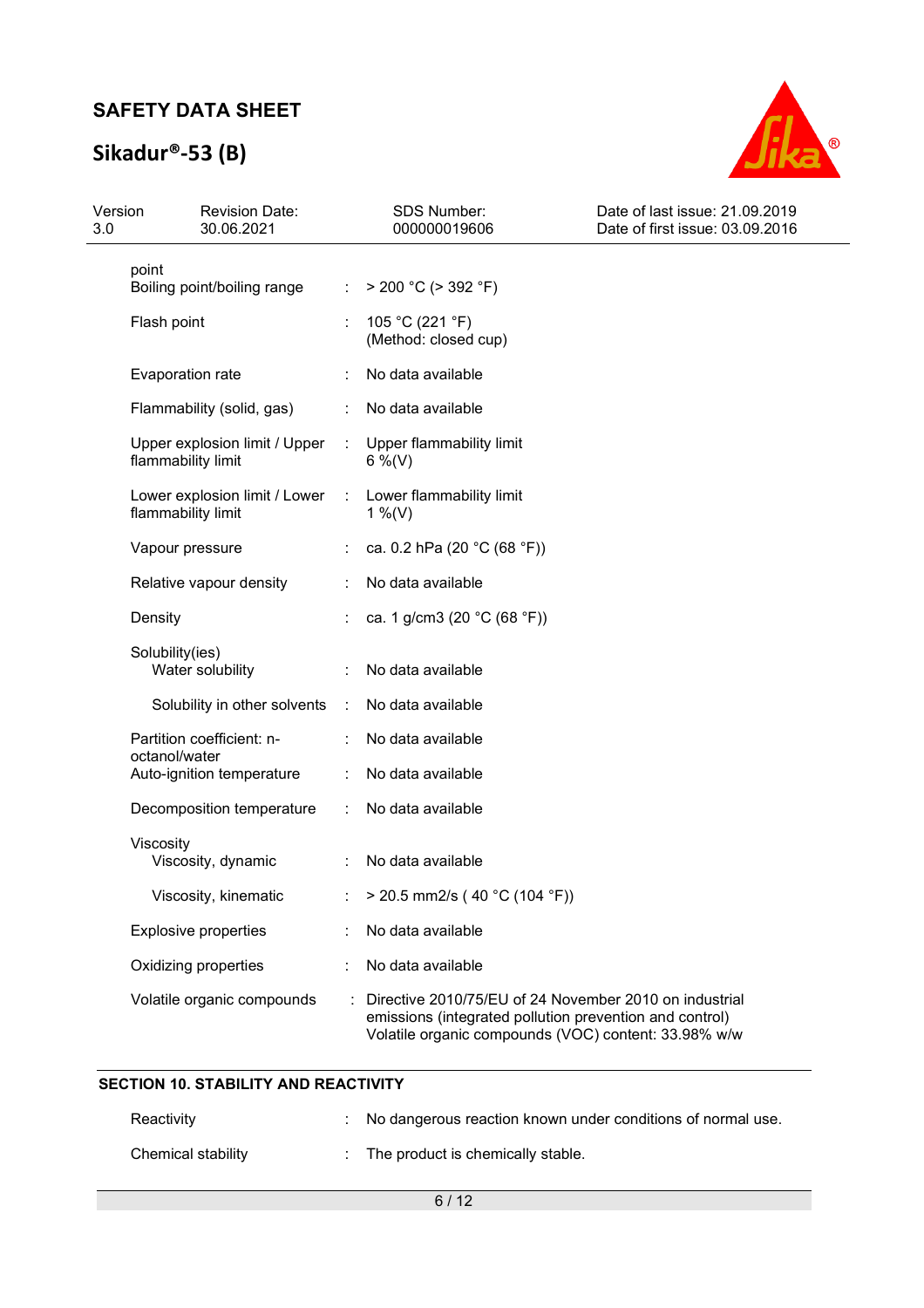# **Sikadur®-53 (B)**



| Version<br>3.0 |                    | <b>Revision Date:</b><br>30.06.2021 |                             | <b>SDS Number:</b><br>000000019606                                                                                                                                        | Date of last issue: 21.09.2019<br>Date of first issue: 03.09.2016 |
|----------------|--------------------|-------------------------------------|-----------------------------|---------------------------------------------------------------------------------------------------------------------------------------------------------------------------|-------------------------------------------------------------------|
|                | point              | Boiling point/boiling range         | ÷.                          | $>$ 200 °C ( $>$ 392 °F)                                                                                                                                                  |                                                                   |
|                | Flash point        |                                     |                             | 105 °C (221 °F)<br>(Method: closed cup)                                                                                                                                   |                                                                   |
|                | Evaporation rate   |                                     |                             | No data available                                                                                                                                                         |                                                                   |
|                |                    | Flammability (solid, gas)           |                             | No data available                                                                                                                                                         |                                                                   |
|                | flammability limit | Upper explosion limit / Upper       | $\mathcal{L}_{\mathcal{A}}$ | Upper flammability limit<br>$6\%$ (V)                                                                                                                                     |                                                                   |
|                | flammability limit | Lower explosion limit / Lower :     |                             | Lower flammability limit<br>1 %(V)                                                                                                                                        |                                                                   |
|                | Vapour pressure    |                                     |                             | ca. 0.2 hPa (20 °C (68 °F))                                                                                                                                               |                                                                   |
|                |                    | Relative vapour density             |                             | No data available                                                                                                                                                         |                                                                   |
|                | Density            |                                     |                             | ca. 1 g/cm3 (20 °C (68 °F))                                                                                                                                               |                                                                   |
|                | Solubility(ies)    | Water solubility                    |                             | No data available                                                                                                                                                         |                                                                   |
|                |                    | Solubility in other solvents        | $\mathcal{L}_{\mathcal{A}}$ | No data available                                                                                                                                                         |                                                                   |
|                |                    | Partition coefficient: n-           |                             | No data available                                                                                                                                                         |                                                                   |
|                | octanol/water      | Auto-ignition temperature           | ÷                           | No data available                                                                                                                                                         |                                                                   |
|                |                    | Decomposition temperature           | ÷                           | No data available                                                                                                                                                         |                                                                   |
|                | Viscosity          | Viscosity, dynamic                  |                             | No data available                                                                                                                                                         |                                                                   |
|                |                    | Viscosity, kinematic                |                             | : > 20.5 mm2/s (40 °C (104 °F))                                                                                                                                           |                                                                   |
|                |                    | <b>Explosive properties</b>         |                             | No data available                                                                                                                                                         |                                                                   |
|                |                    | Oxidizing properties                |                             | No data available                                                                                                                                                         |                                                                   |
|                |                    | Volatile organic compounds          |                             | Directive 2010/75/EU of 24 November 2010 on industrial<br>emissions (integrated pollution prevention and control)<br>Volatile organic compounds (VOC) content: 33.98% w/w |                                                                   |

### **SECTION 10. STABILITY AND REACTIVITY**

| Reactivity         | : No dangerous reaction known under conditions of normal use. |
|--------------------|---------------------------------------------------------------|
| Chemical stability | The product is chemically stable.                             |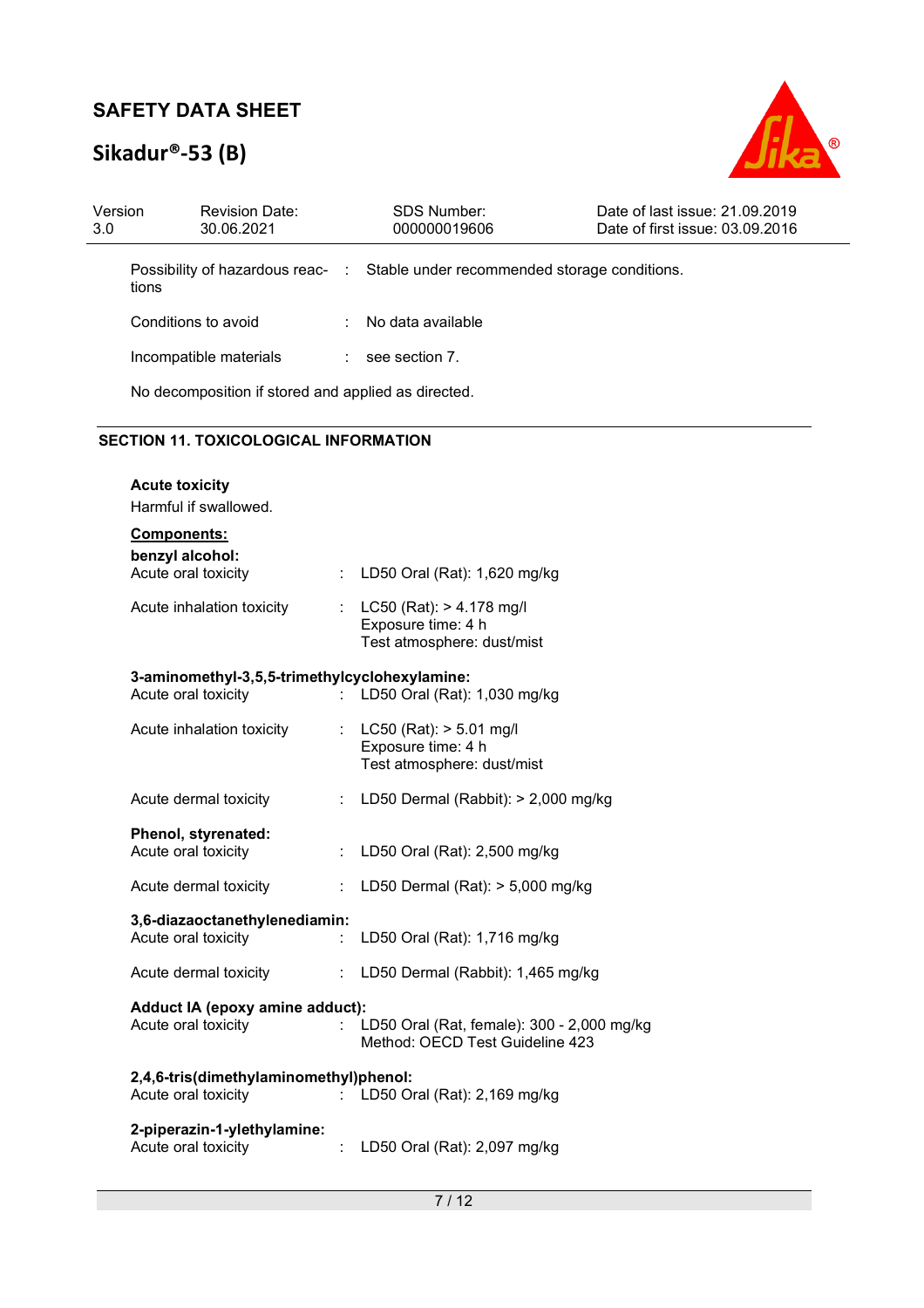# **Sikadur®-53 (B)**



| Version<br>3.0         | <b>Revision Date:</b><br>30.06.2021                 | <b>SDS Number:</b><br>000000019606                                            | Date of last issue: 21.09.2019<br>Date of first issue: 03.09.2016 |
|------------------------|-----------------------------------------------------|-------------------------------------------------------------------------------|-------------------------------------------------------------------|
|                        | tions                                               | Possibility of hazardous reac- : Stable under recommended storage conditions. |                                                                   |
|                        | Conditions to avoid                                 | No data available                                                             |                                                                   |
| Incompatible materials |                                                     | see section 7.                                                                |                                                                   |
|                        | No decomposition if stored and applied as directed. |                                                                               |                                                                   |

### **SECTION 11. TOXICOLOGICAL INFORMATION**

| <b>Acute toxicity</b><br>Harmful if swallowed.                |                           |                                                                                   |
|---------------------------------------------------------------|---------------------------|-----------------------------------------------------------------------------------|
| Components:                                                   |                           |                                                                                   |
| benzyl alcohol:<br>Acute oral toxicity                        | t.                        | LD50 Oral (Rat): 1,620 mg/kg                                                      |
| Acute inhalation toxicity                                     |                           | : LC50 (Rat): > 4.178 mg/l<br>Exposure time: 4 h<br>Test atmosphere: dust/mist    |
| 3-aminomethyl-3,5,5-trimethylcyclohexylamine:                 |                           |                                                                                   |
| Acute oral toxicity                                           | ÷.                        | LD50 Oral (Rat): 1,030 mg/kg                                                      |
| Acute inhalation toxicity                                     |                           | : $LC50$ (Rat): $> 5.01$ mg/l<br>Exposure time: 4 h<br>Test atmosphere: dust/mist |
| Acute dermal toxicity                                         | ÷.                        | LD50 Dermal (Rabbit): > 2,000 mg/kg                                               |
| Phenol, styrenated:<br>Acute oral toxicity                    | ÷.                        | LD50 Oral (Rat): 2,500 mg/kg                                                      |
| Acute dermal toxicity                                         | ÷.                        | LD50 Dermal (Rat): $>$ 5,000 mg/kg                                                |
| 3,6-diazaoctanethylenediamin:<br>Acute oral toxicity          |                           | LD50 Oral (Rat): 1,716 mg/kg                                                      |
| Acute dermal toxicity                                         | $\mathbb{Z}^{\mathbb{Z}}$ | LD50 Dermal (Rabbit): 1,465 mg/kg                                                 |
| Adduct IA (epoxy amine adduct):<br>Acute oral toxicity        | t.                        | LD50 Oral (Rat, female): 300 - 2,000 mg/kg<br>Method: OECD Test Guideline 423     |
| 2,4,6-tris(dimethylaminomethyl)phenol:<br>Acute oral toxicity |                           | LD50 Oral (Rat): 2,169 mg/kg                                                      |
| 2-piperazin-1-ylethylamine:<br>Acute oral toxicity            |                           | LD50 Oral (Rat): 2,097 mg/kg                                                      |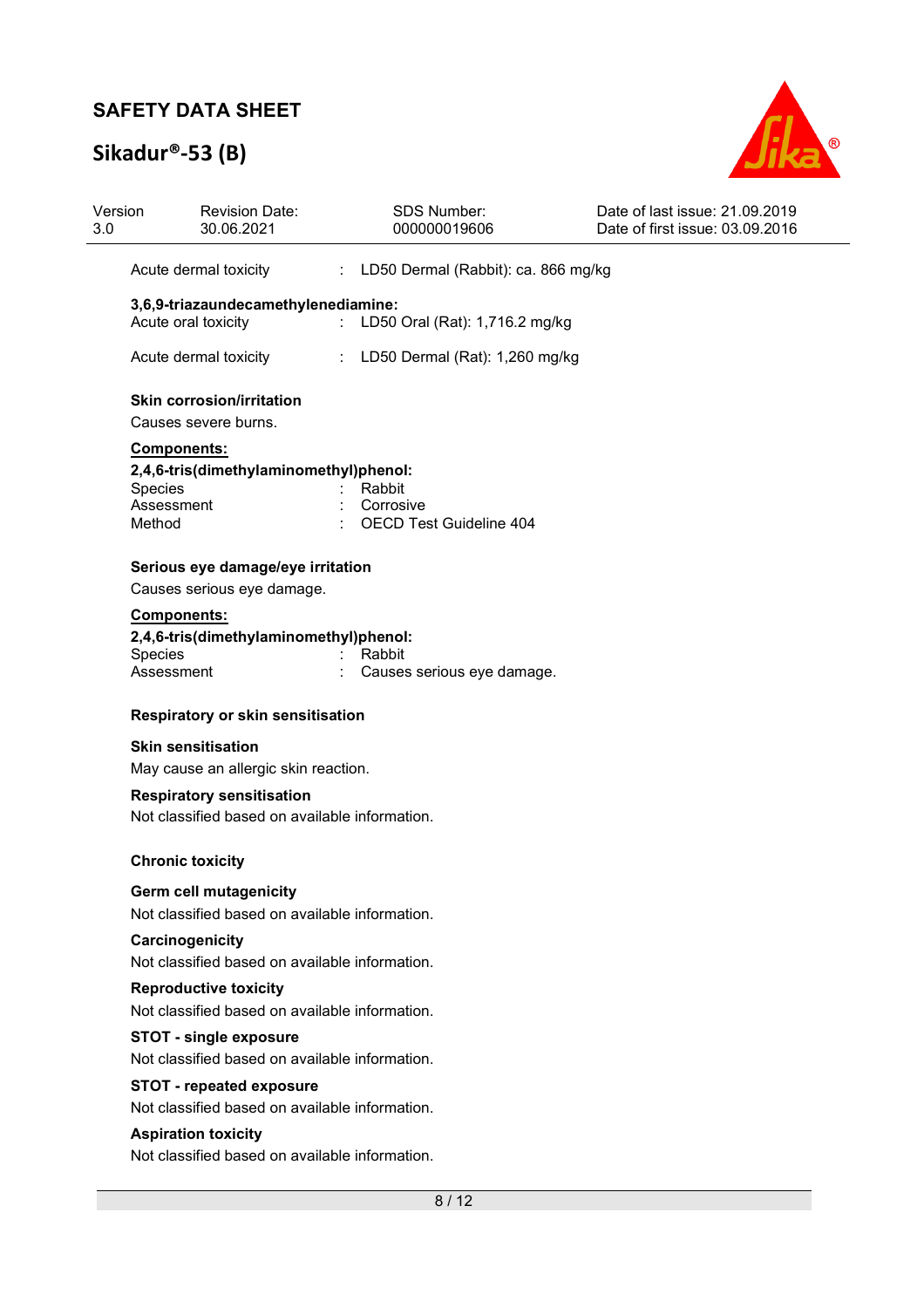# **Sikadur®-53 (B)**



| Version<br>3.0           | <b>Revision Date:</b><br>30.06.2021                                                               | <b>SDS Number:</b><br>000000019606                                 | Date of last issue: 21.09.2019<br>Date of first issue: 03.09.2016 |
|--------------------------|---------------------------------------------------------------------------------------------------|--------------------------------------------------------------------|-------------------------------------------------------------------|
|                          | Acute dermal toxicity                                                                             | LD50 Dermal (Rabbit): ca. 866 mg/kg<br>$\mathcal{L}^{\mathcal{L}}$ |                                                                   |
|                          | 3,6,9-triazaundecamethylenediamine:<br>Acute oral toxicity                                        | LD50 Oral (Rat): 1,716.2 mg/kg                                     |                                                                   |
|                          | Acute dermal toxicity                                                                             | LD50 Dermal (Rat): 1,260 mg/kg<br>÷.                               |                                                                   |
|                          | <b>Skin corrosion/irritation</b><br>Causes severe burns.                                          |                                                                    |                                                                   |
| <b>Species</b><br>Method | Components:<br>2,4,6-tris(dimethylaminomethyl)phenol:<br>Assessment                               | Rabbit<br>Corrosive<br><b>OECD Test Guideline 404</b>              |                                                                   |
|                          | Serious eye damage/eye irritation                                                                 |                                                                    |                                                                   |
| Species                  | Causes serious eye damage.<br>Components:<br>2,4,6-tris(dimethylaminomethyl)phenol:<br>Assessment | Rabbit<br>Causes serious eye damage.                               |                                                                   |
|                          | <b>Respiratory or skin sensitisation</b>                                                          |                                                                    |                                                                   |
|                          | <b>Skin sensitisation</b><br>May cause an allergic skin reaction.                                 |                                                                    |                                                                   |
|                          | <b>Respiratory sensitisation</b><br>Not classified based on available information.                |                                                                    |                                                                   |
|                          | <b>Chronic toxicity</b>                                                                           |                                                                    |                                                                   |
|                          | Germ cell mutagenicity<br>Not classified based on available information.                          |                                                                    |                                                                   |
|                          | Carcinogenicity<br>Not classified based on available information.                                 |                                                                    |                                                                   |
|                          | <b>Reproductive toxicity</b><br>Not classified based on available information.                    |                                                                    |                                                                   |
|                          | <b>STOT - single exposure</b><br>Not classified based on available information.                   |                                                                    |                                                                   |
|                          | <b>STOT - repeated exposure</b><br>Not classified based on available information.                 |                                                                    |                                                                   |
|                          | <b>Aspiration toxicity</b><br>Not classified based on available information.                      |                                                                    |                                                                   |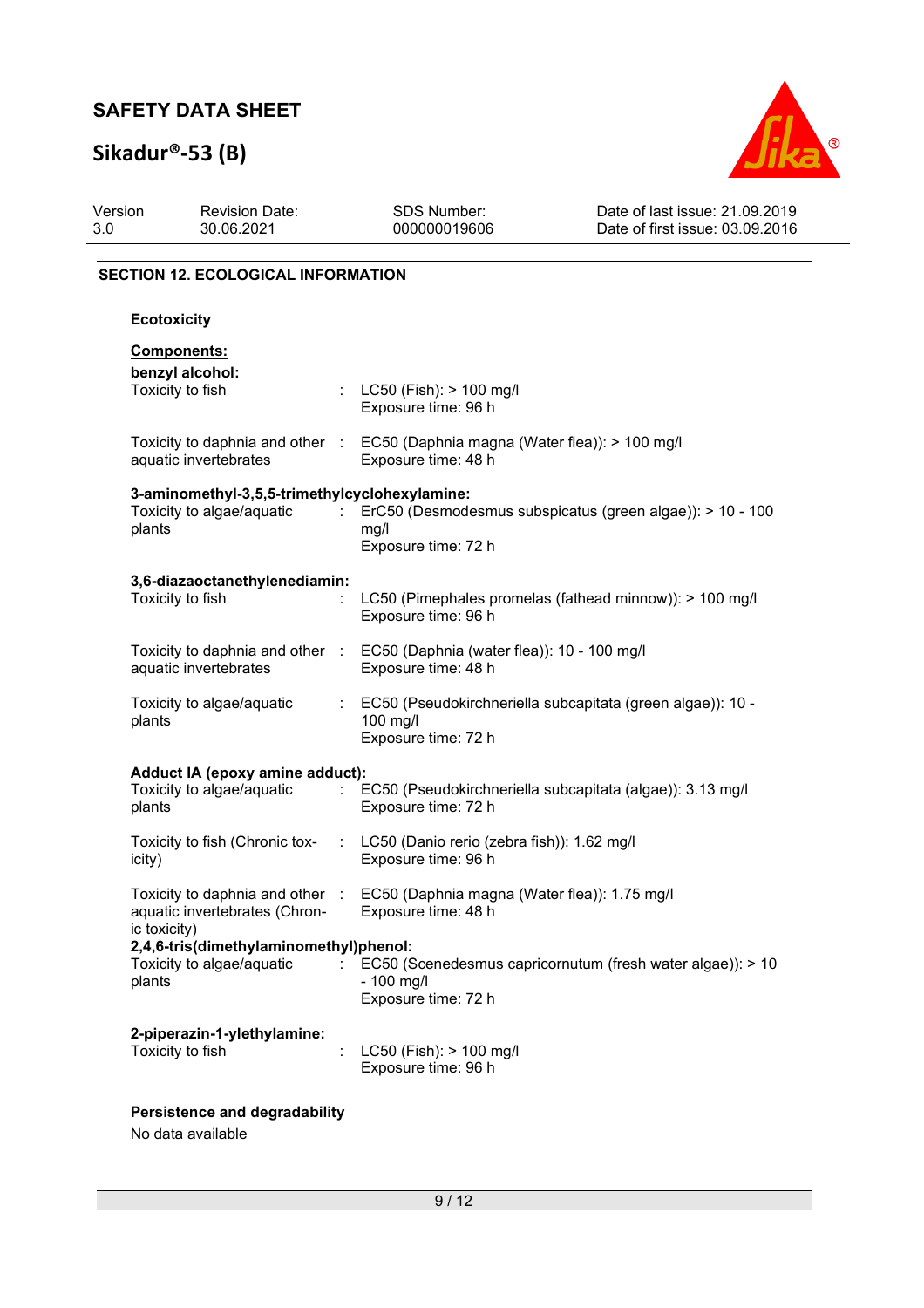# **Sikadur®-53 (B)**



| Version<br>3.0     | <b>Revision Date:</b><br>30.06.2021                                                             | <b>SDS Number:</b><br>000000019606                                                                   | Date of last issue: 21.09.2019<br>Date of first issue: 03.09.2016 |
|--------------------|-------------------------------------------------------------------------------------------------|------------------------------------------------------------------------------------------------------|-------------------------------------------------------------------|
|                    | <b>SECTION 12. ECOLOGICAL INFORMATION</b>                                                       |                                                                                                      |                                                                   |
| <b>Ecotoxicity</b> |                                                                                                 |                                                                                                      |                                                                   |
|                    | Components:<br>benzyl alcohol:<br>Toxicity to fish                                              | : $LC50$ (Fish): $> 100$ mg/l<br>Exposure time: 96 h                                                 |                                                                   |
|                    | aquatic invertebrates                                                                           | Toxicity to daphnia and other : EC50 (Daphnia magna (Water flea)): > 100 mg/l<br>Exposure time: 48 h |                                                                   |
| plants             | 3-aminomethyl-3,5,5-trimethylcyclohexylamine:<br>Toxicity to algae/aquatic<br><b>Contractor</b> | mg/l<br>Exposure time: 72 h                                                                          | ErC50 (Desmodesmus subspicatus (green algae)): > 10 - 100         |
|                    | 3,6-diazaoctanethylenediamin:<br>Toxicity to fish                                               | Exposure time: 96 h                                                                                  | LC50 (Pimephales promelas (fathead minnow)): > 100 mg/l           |
|                    | Toxicity to daphnia and other :<br>aquatic invertebrates                                        | EC50 (Daphnia (water flea)): 10 - 100 mg/l<br>Exposure time: 48 h                                    |                                                                   |
| plants             | Toxicity to algae/aquatic                                                                       | 100 mg/l<br>Exposure time: 72 h                                                                      | EC50 (Pseudokirchneriella subcapitata (green algae)): 10 -        |
| plants             | Adduct IA (epoxy amine adduct):<br>Toxicity to algae/aquatic                                    | Exposure time: 72 h                                                                                  | EC50 (Pseudokirchneriella subcapitata (algae)): 3.13 mg/l         |
| icity)             | Toxicity to fish (Chronic tox-                                                                  | LC50 (Danio rerio (zebra fish)): 1.62 mg/l<br>$\mathcal{L}^{\mathcal{L}}$<br>Exposure time: 96 h     |                                                                   |
| ic toxicity)       | Toxicity to daphnia and other :<br>aquatic invertebrates (Chron-                                | EC50 (Daphnia magna (Water flea)): 1.75 mg/l<br>Exposure time: 48 h                                  |                                                                   |
| plants             | 2,4,6-tris(dimethylaminomethyl)phenol:<br>Toxicity to algae/aquatic                             | - 100 mg/l<br>Exposure time: 72 h                                                                    | EC50 (Scenedesmus capricornutum (fresh water algae)): > 10        |
|                    | 2-piperazin-1-ylethylamine:<br>Toxicity to fish                                                 | LC50 (Fish): > 100 mg/l<br>Exposure time: 96 h                                                       |                                                                   |
|                    | Persistence and degradability                                                                   |                                                                                                      |                                                                   |

No data available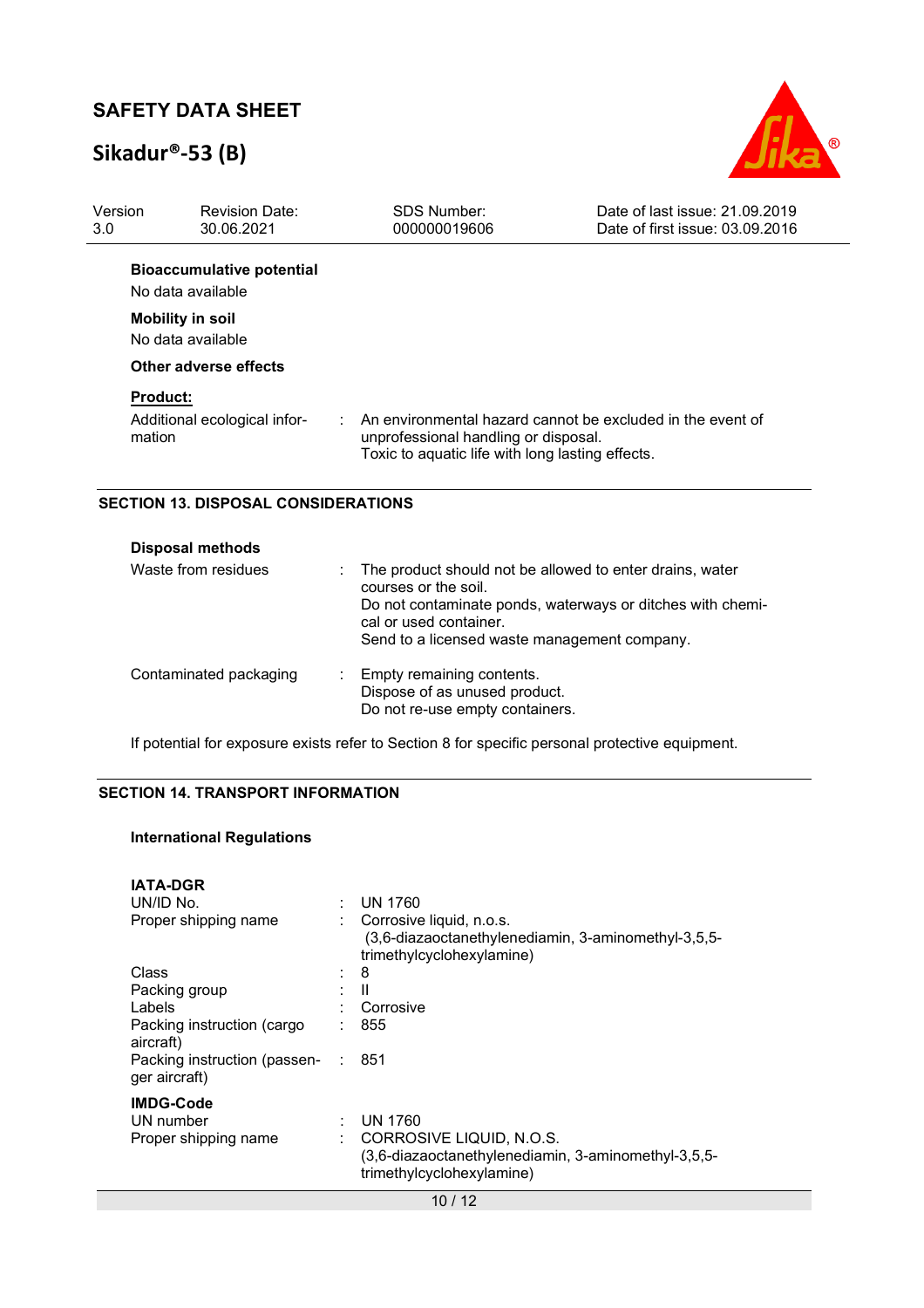# **Sikadur®-53 (B)**



| Version<br>3.0  | <b>Revision Date:</b><br>30.06.2021 | SDS Number:<br>000000019606                      | Date of last issue: 21.09.2019<br>Date of first issue: 03.09.2016 |
|-----------------|-------------------------------------|--------------------------------------------------|-------------------------------------------------------------------|
|                 | <b>Bioaccumulative potential</b>    |                                                  |                                                                   |
|                 | No data available                   |                                                  |                                                                   |
|                 | <b>Mobility in soil</b>             |                                                  |                                                                   |
|                 | No data available                   |                                                  |                                                                   |
|                 | Other adverse effects               |                                                  |                                                                   |
| <b>Product:</b> |                                     |                                                  |                                                                   |
| mation          | Additional ecological infor-        | unprofessional handling or disposal.             | An environmental hazard cannot be excluded in the event of        |
|                 |                                     | Toxic to aquatic life with long lasting effects. |                                                                   |

| <b>Disposal methods</b> |                |                                                                                                                                                                                                                          |
|-------------------------|----------------|--------------------------------------------------------------------------------------------------------------------------------------------------------------------------------------------------------------------------|
| Waste from residues     | $\mathbb{R}^n$ | The product should not be allowed to enter drains, water<br>courses or the soil.<br>Do not contaminate ponds, waterways or ditches with chemi-<br>cal or used container.<br>Send to a licensed waste management company. |
| Contaminated packaging  |                | Empty remaining contents.<br>Dispose of as unused product.<br>Do not re-use empty containers.                                                                                                                            |

If potential for exposure exists refer to Section 8 for specific personal protective equipment.

### **SECTION 14. TRANSPORT INFORMATION**

#### **International Regulations**

| <b>IATA-DGR</b>                               |   |                                                                                                              |
|-----------------------------------------------|---|--------------------------------------------------------------------------------------------------------------|
| UN/ID No.                                     |   | <b>UN 1760</b>                                                                                               |
| Proper shipping name                          |   | Corrosive liquid, n.o.s.<br>(3,6-diazaoctanethylenediamin, 3-aminomethyl-3,5,5-<br>trimethylcyclohexylamine) |
| Class                                         | ÷ | 8                                                                                                            |
| Packing group                                 |   | Ш                                                                                                            |
| Labels                                        |   | Corrosive                                                                                                    |
| Packing instruction (cargo<br>aircraft)       |   | 855                                                                                                          |
| Packing instruction (passen-<br>ger aircraft) |   | : 851                                                                                                        |
| <b>IMDG-Code</b>                              |   |                                                                                                              |
| UN number                                     |   | UN 1760                                                                                                      |
| Proper shipping name                          |   | CORROSIVE LIQUID, N.O.S.                                                                                     |
|                                               |   | (3,6-diazaoctanethylenediamin, 3-aminomethyl-3,5,5-<br>trimethylcyclohexylamine)                             |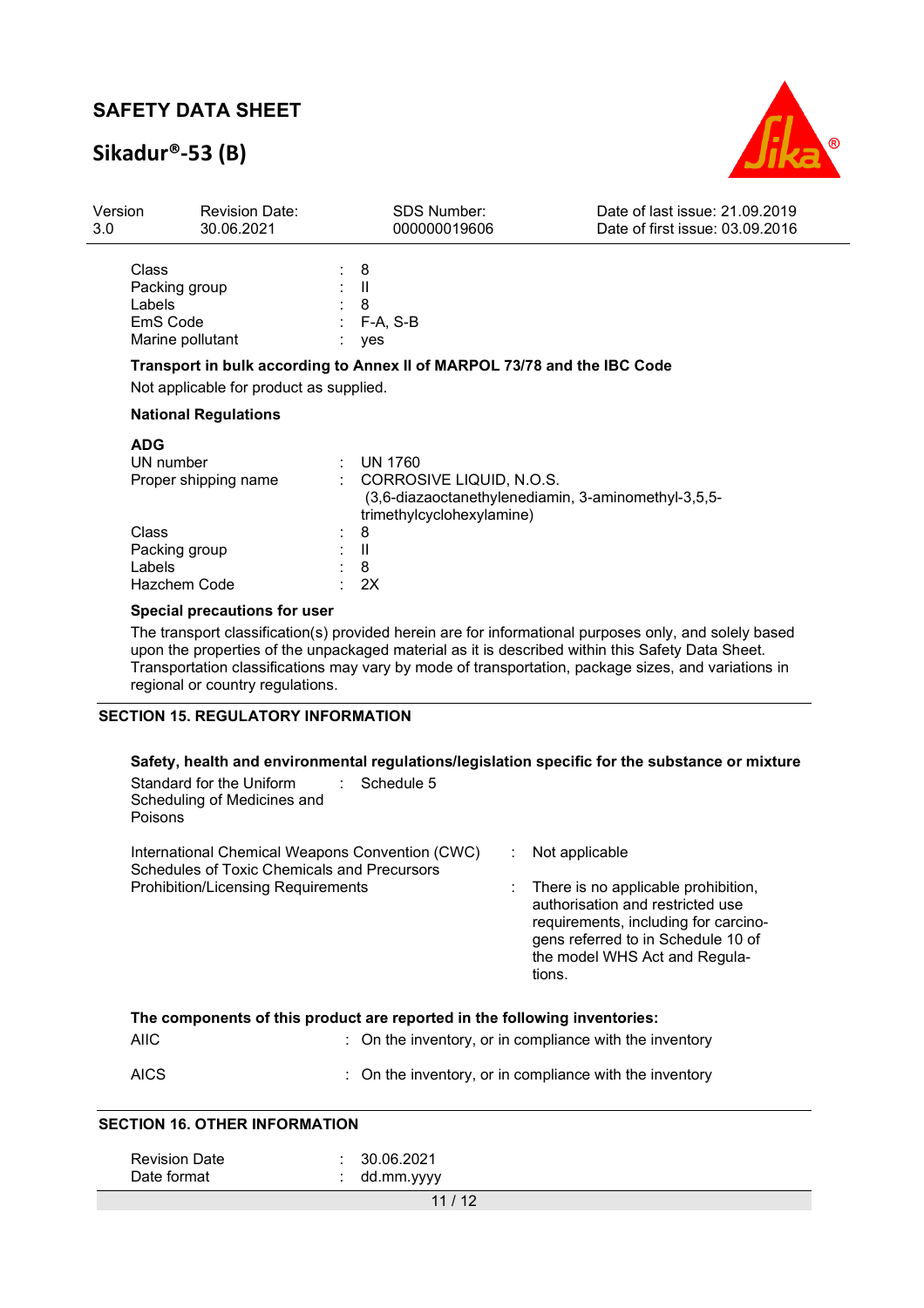# **Sikadur®-53 (B)**



| Version<br>3.0                            | <b>Revision Date:</b><br>30.06.2021                                                                                                                                                                                                                                                                                                                  |                                                              | <b>SDS Number:</b><br>000000019606                    | Date of last issue: 21.09.2019<br>Date of first issue: 03.09.2016                              |  |  |
|-------------------------------------------|------------------------------------------------------------------------------------------------------------------------------------------------------------------------------------------------------------------------------------------------------------------------------------------------------------------------------------------------------|--------------------------------------------------------------|-------------------------------------------------------|------------------------------------------------------------------------------------------------|--|--|
|                                           | Class<br>Packing group<br>Labels<br>EmS Code<br>Marine pollutant                                                                                                                                                                                                                                                                                     | 8<br>Ш<br>8<br>F-A, S-B<br>yes                               |                                                       |                                                                                                |  |  |
|                                           | Transport in bulk according to Annex II of MARPOL 73/78 and the IBC Code<br>Not applicable for product as supplied.                                                                                                                                                                                                                                  |                                                              |                                                       |                                                                                                |  |  |
|                                           | <b>National Regulations</b>                                                                                                                                                                                                                                                                                                                          |                                                              |                                                       |                                                                                                |  |  |
|                                           | <b>ADG</b><br>UN number<br>Proper shipping name<br>Class<br>Packing group<br>Labels<br>Hazchem Code                                                                                                                                                                                                                                                  | <b>UN 1760</b><br>8<br>$\ensuremath{\mathsf{II}}$<br>8<br>2X | CORROSIVE LIQUID, N.O.S.<br>trimethylcyclohexylamine) | (3,6-diazaoctanethylenediamin, 3-aminomethyl-3,5,5-                                            |  |  |
|                                           | Special precautions for user                                                                                                                                                                                                                                                                                                                         |                                                              |                                                       |                                                                                                |  |  |
|                                           | The transport classification(s) provided herein are for informational purposes only, and solely based<br>upon the properties of the unpackaged material as it is described within this Safety Data Sheet.<br>Transportation classifications may vary by mode of transportation, package sizes, and variations in<br>regional or country regulations. |                                                              |                                                       |                                                                                                |  |  |
| <b>SECTION 15. REGULATORY INFORMATION</b> |                                                                                                                                                                                                                                                                                                                                                      |                                                              |                                                       |                                                                                                |  |  |
|                                           | Standard for the Uniform<br>Scheduling of Medicines and<br>Poisons                                                                                                                                                                                                                                                                                   | Schedule 5<br>÷                                              |                                                       | Safety, health and environmental regulations/legislation specific for the substance or mixture |  |  |
|                                           | International Chemical Weapons Convention (CWC)<br>Schedules of Toxic Chemicals and Precursors<br><b>Prohibition/Licensing Requirements</b>                                                                                                                                                                                                          |                                                              |                                                       | Not applicable<br>There is no applicable prohibition,                                          |  |  |

authorisation and restricted use requirements, including for carcinogens referred to in Schedule 10 of the model WHS Act and Regulations.

| The components of this product are reported in the following inventories: |                                                                    |  |  |  |  |
|---------------------------------------------------------------------------|--------------------------------------------------------------------|--|--|--|--|
| AIIC                                                                      | $\therefore$ On the inventory, or in compliance with the inventory |  |  |  |  |
| <b>AICS</b>                                                               | $\therefore$ On the inventory, or in compliance with the inventory |  |  |  |  |

### **SECTION 16. OTHER INFORMATION**

| <b>Revision Date</b> | 30.06.2021 |
|----------------------|------------|
| Date format          | dd.mm.yyyy |